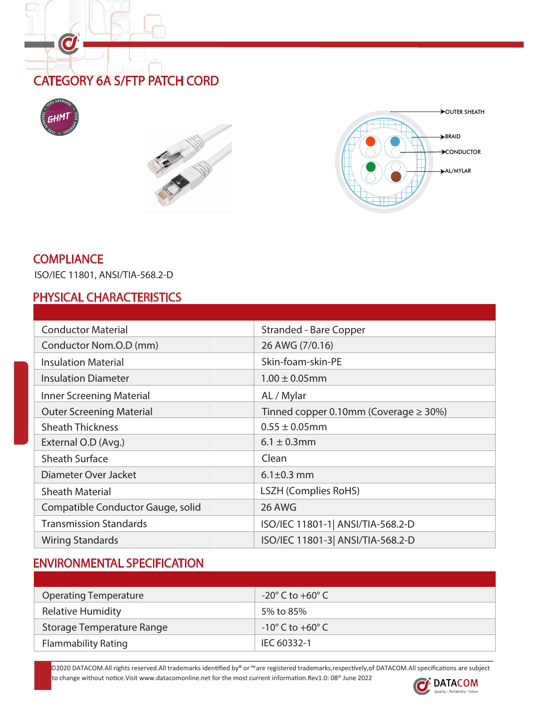# CATEGORY 6A S/FTP PATCH CORD



O





#### **COMPLIANCE**

ISO/IEC 11801, ANSI/TIA-568.2-D

#### PHYSICAL CHARACTERISTICS

| <b>Conductor Material</b>         | <b>Stranded - Bare Copper</b>              |  |  |  |  |
|-----------------------------------|--------------------------------------------|--|--|--|--|
| Conductor Nom.O.D (mm)            | 26 AWG (7/0.16)                            |  |  |  |  |
| <b>Insulation Material</b>        | Skin-foam-skin-PE                          |  |  |  |  |
| <b>Insulation Diameter</b>        | $1.00 \pm 0.05$ mm                         |  |  |  |  |
| Inner Screening Material          | AL / Mylar                                 |  |  |  |  |
| <b>Outer Screening Material</b>   | Tinned copper 0.10mm (Coverage $\geq$ 30%) |  |  |  |  |
| <b>Sheath Thickness</b>           | $0.55 \pm 0.05$ mm                         |  |  |  |  |
| External O.D (Avg.)               | $6.1 \pm 0.3$ mm                           |  |  |  |  |
| <b>Sheath Surface</b>             | Clean                                      |  |  |  |  |
| Diameter Over Jacket              | $6.1 \pm 0.3$ mm                           |  |  |  |  |
| <b>Sheath Material</b>            | <b>LSZH (Complies RoHS)</b>                |  |  |  |  |
| Compatible Conductor Gauge, solid | 26 AWG                                     |  |  |  |  |
| <b>Transmission Standards</b>     | ISO/IEC 11801-1   ANSI/TIA-568.2-D         |  |  |  |  |
| <b>Wiring Standards</b>           | ISO/IEC 11801-3 ANSI/TIA-568.2-D           |  |  |  |  |

# ENVIRONMENTAL SPECIFICATION

| <b>Operating Temperature</b> | $-20^\circ$ C to $+60^\circ$ C     |
|------------------------------|------------------------------------|
| <b>Relative Humidity</b>     | 5% to 85%                          |
| Storage Temperature Range    | $-10^{\circ}$ C to $+60^{\circ}$ C |
| <b>Flammability Rating</b>   | IEC 60332-1                        |

©2020 DATACOM.All rights reserved.All trademarks identified by® or ™are registered trademarks,respectively,of DATACOM.All specifications are subject

to change without notice. Visit www.datacomonline.net for the most current information.Rev1.0: 08<sup>th</sup> June 2022